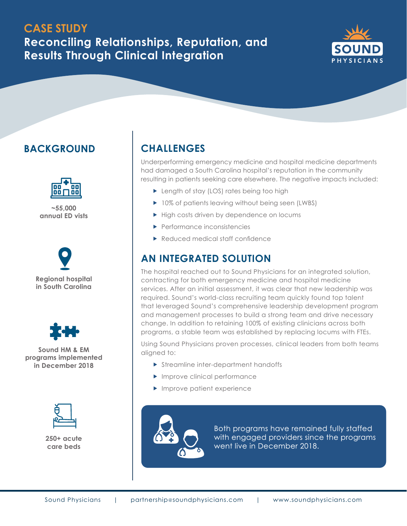## **CASE STUDY**

**Reconciling Relationships, Reputation, and Results Through Clinical Integration**



## **BACKGROUND**



**~55,000 annual ED vists**



**in South Carolina**



**Sound HM & EM programs implemented in December 2018**



**250+ acute care beds**

## **CHALLENGES**

Underperforming emergency medicine and hospital medicine departments had damaged a South Carolina hospital's reputation in the community resulting in patients seeking care elsewhere. The negative impacts included:

- ▶ Length of stay (LOS) rates being too high
- ▶ 10% of patients leaving without being seen (LWBS)
- High costs driven by dependence on locums
- Performance inconsistencies
- Reduced medical staff confidence

#### **AN INTEGRATED SOLUTION**

The hospital reached out to Sound Physicians for an integrated solution, contracting for both emergency medicine and hospital medicine services. After an initial assessment, it was clear that new leadership was required. Sound's world-class recruiting team quickly found top talent that leveraged Sound's comprehensive leadership development program and management processes to build a strong team and drive necessary change. In addition to retaining 100% of existing clinicians across both programs, a stable team was established by replacing locums with FTEs.

Using Sound Physicians proven processes, clinical leaders from both teams aligned to:

- Streamline inter-department handoffs
- **Improve clinical performance**
- $\blacktriangleright$  Improve patient experience



Both programs have remained fully staffed with engaged providers since the programs went live in December 2018.